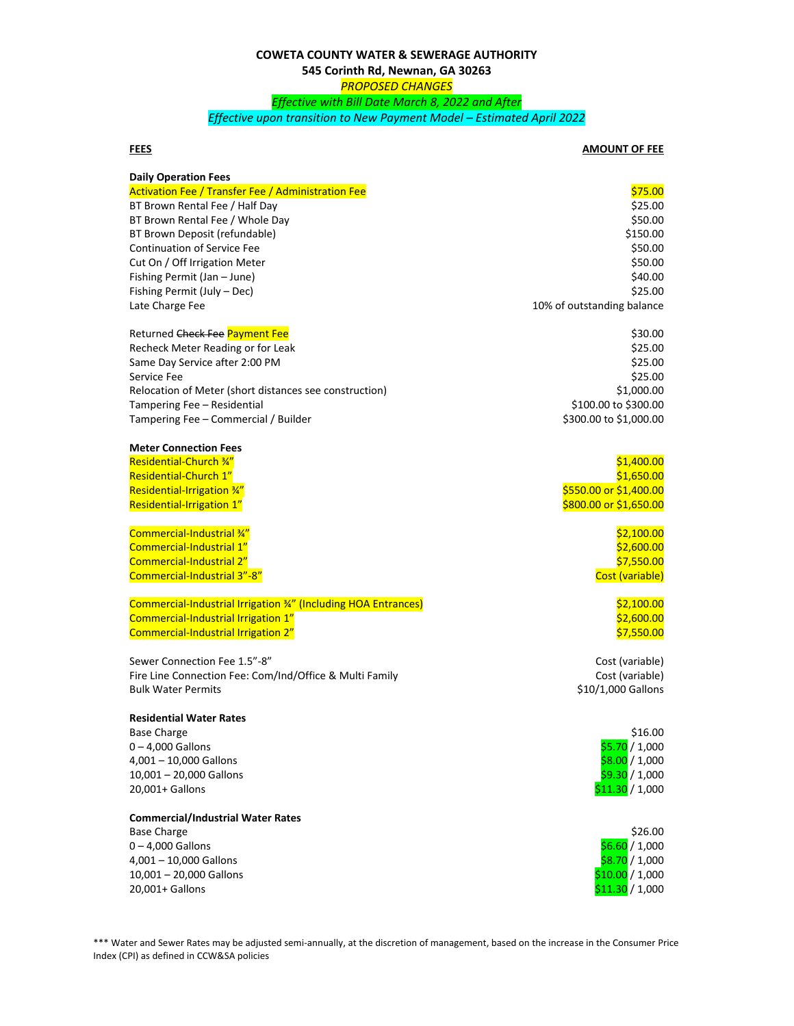## **COWETA COUNTY WATER & SEWERAGE AUTHORITY 545 Corinth Rd, Newnan, GA 30263** *PROPOSED CHANGES Effective with Bill Date March 8, 2022 and After Effective upon transition to New Payment Model – Estimated April 2022*

## **FEES AMOUNT OF FEE**

| <b>Daily Operation Fees</b>                                    |                            |
|----------------------------------------------------------------|----------------------------|
| <b>Activation Fee / Transfer Fee / Administration Fee</b>      | \$75.00                    |
| BT Brown Rental Fee / Half Day                                 | \$25.00                    |
| BT Brown Rental Fee / Whole Day                                | \$50.00                    |
| BT Brown Deposit (refundable)                                  | \$150.00                   |
| <b>Continuation of Service Fee</b>                             | \$50.00                    |
| Cut On / Off Irrigation Meter                                  | \$50.00                    |
| Fishing Permit (Jan - June)                                    | \$40.00                    |
| Fishing Permit (July - Dec)                                    | \$25.00                    |
| Late Charge Fee                                                | 10% of outstanding balance |
| Returned Check Fee Payment Fee                                 | \$30.00                    |
| Recheck Meter Reading or for Leak                              | \$25.00                    |
| Same Day Service after 2:00 PM                                 | \$25.00                    |
| Service Fee                                                    | \$25.00                    |
| Relocation of Meter (short distances see construction)         | \$1,000.00                 |
| Tampering Fee - Residential                                    | \$100.00 to \$300.00       |
| Tampering Fee - Commercial / Builder                           | \$300.00 to \$1,000.00     |
| <b>Meter Connection Fees</b>                                   |                            |
| <b>Residential-Church 34"</b>                                  | \$1,400.00                 |
| Residential-Church 1"                                          | \$1,650.00                 |
| Residential-Irrigation 34"                                     | \$550.00 or \$1,400.00     |
| Residential-Irrigation 1"                                      | \$800.00 or \$1,650.00     |
| Commercial-Industrial %"                                       | \$2,100.00                 |
| Commercial-Industrial 1"                                       | \$2,600.00                 |
| Commercial-Industrial 2"                                       | \$7,550.00                 |
| Commercial-Industrial 3"-8"                                    | Cost (variable)            |
| Commercial-Industrial Irrigation 34" (Including HOA Entrances) | \$2,100.00                 |
| Commercial-Industrial Irrigation 1"                            | \$2,600.00                 |
| Commercial-Industrial Irrigation 2"                            | \$7,550.00                 |
| Sewer Connection Fee 1.5"-8"                                   | Cost (variable)            |
| Fire Line Connection Fee: Com/Ind/Office & Multi Family        | Cost (variable)            |
| <b>Bulk Water Permits</b>                                      | \$10/1,000 Gallons         |
| <b>Residential Water Rates</b>                                 |                            |
| <b>Base Charge</b>                                             | \$16.00                    |
| $0 - 4,000$ Gallons                                            | \$5.70 / 1,000             |
| 4,001 - 10,000 Gallons                                         | \$8.00 / 1,000             |
| 10,001 - 20,000 Gallons                                        | \$9.30 / 1,000             |
| 20,001+ Gallons                                                | \$11.30 / 1,000            |
| <b>Commercial/Industrial Water Rates</b>                       |                            |
| <b>Base Charge</b>                                             | \$26.00                    |
| $0 - 4,000$ Gallons                                            | \$6.60 / 1,000             |
| 4,001 - 10,000 Gallons                                         | \$8.70 / 1,000             |
| 10,001 - 20,000 Gallons                                        | \$10.00 / 1,000            |
| 20,001+ Gallons                                                | \$11.30 / 1,000            |

\*\*\* Water and Sewer Rates may be adjusted semi-annually, at the discretion of management, based on the increase in the Consumer Price Index (CPI) as defined in CCW&SA policies